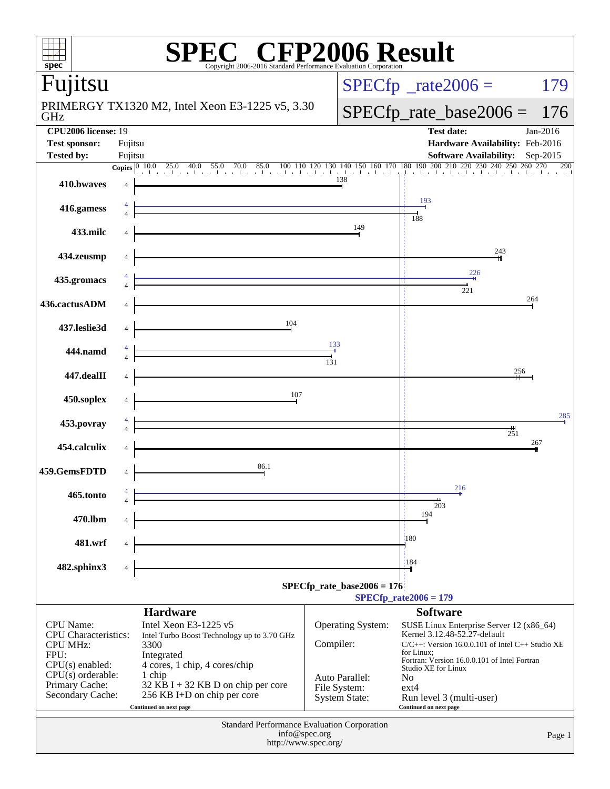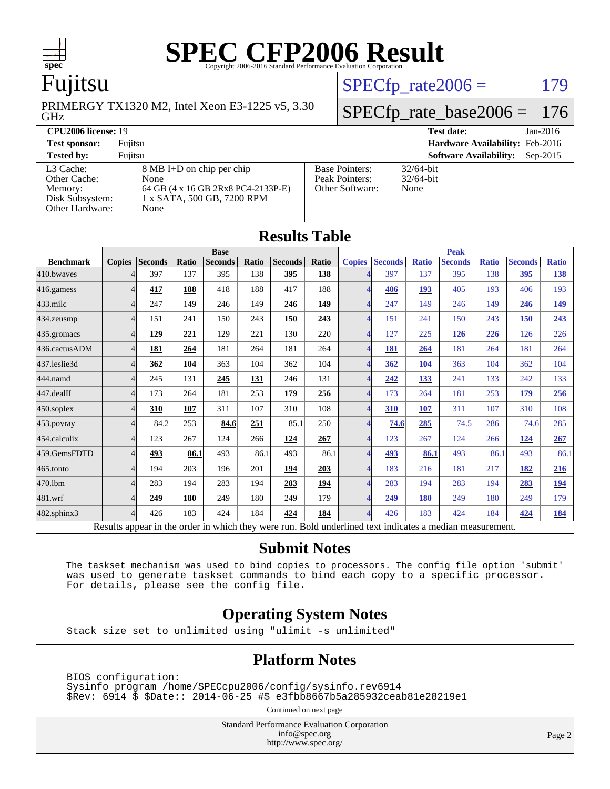

# Fujitsu

GHz PRIMERGY TX1320 M2, Intel Xeon E3-1225 v5, 3.30  $SPECTp\_rate2006 = 179$ 

# [SPECfp\\_rate\\_base2006 =](http://www.spec.org/auto/cpu2006/Docs/result-fields.html#SPECfpratebase2006) 176

#### **[CPU2006 license:](http://www.spec.org/auto/cpu2006/Docs/result-fields.html#CPU2006license)** 19 **[Test date:](http://www.spec.org/auto/cpu2006/Docs/result-fields.html#Testdate)** Jan-2016 **[Test sponsor:](http://www.spec.org/auto/cpu2006/Docs/result-fields.html#Testsponsor)** Fujitsu **[Hardware Availability:](http://www.spec.org/auto/cpu2006/Docs/result-fields.html#HardwareAvailability)** Feb-2016 **[Tested by:](http://www.spec.org/auto/cpu2006/Docs/result-fields.html#Testedby)** Fujitsu **[Software Availability:](http://www.spec.org/auto/cpu2006/Docs/result-fields.html#SoftwareAvailability)** Sep-2015 [L3 Cache:](http://www.spec.org/auto/cpu2006/Docs/result-fields.html#L3Cache) 8 MB I+D on chip per chip<br>Other Cache: None [Other Cache:](http://www.spec.org/auto/cpu2006/Docs/result-fields.html#OtherCache) [Memory:](http://www.spec.org/auto/cpu2006/Docs/result-fields.html#Memory) 64 GB (4 x 16 GB 2Rx8 PC4-2133P-E) [Disk Subsystem:](http://www.spec.org/auto/cpu2006/Docs/result-fields.html#DiskSubsystem) 1 x SATA, 500 GB, 7200 RPM [Other Hardware:](http://www.spec.org/auto/cpu2006/Docs/result-fields.html#OtherHardware) None [Base Pointers:](http://www.spec.org/auto/cpu2006/Docs/result-fields.html#BasePointers) 32/64-bit<br>Peak Pointers: 32/64-bit [Peak Pointers:](http://www.spec.org/auto/cpu2006/Docs/result-fields.html#PeakPointers) [Other Software:](http://www.spec.org/auto/cpu2006/Docs/result-fields.html#OtherSoftware) None

| <b>Results Table</b> |               |                                                                                                          |       |                |       |                |            |                          |                |              |                |              |                |              |  |
|----------------------|---------------|----------------------------------------------------------------------------------------------------------|-------|----------------|-------|----------------|------------|--------------------------|----------------|--------------|----------------|--------------|----------------|--------------|--|
|                      | <b>Base</b>   |                                                                                                          |       |                |       |                |            |                          | <b>Peak</b>    |              |                |              |                |              |  |
| <b>Benchmark</b>     | <b>Copies</b> | <b>Seconds</b>                                                                                           | Ratio | <b>Seconds</b> | Ratio | <b>Seconds</b> | Ratio      | <b>Copies</b>            | <b>Seconds</b> | <b>Ratio</b> | <b>Seconds</b> | <b>Ratio</b> | <b>Seconds</b> | <b>Ratio</b> |  |
| 410.bwayes           |               | 397                                                                                                      | 137   | 395            | 138   | 395            | 138        |                          | 397            | 137          | 395            | 138          | 395            | <u>138</u>   |  |
| 416.gamess           | 4             | 417                                                                                                      | 188   | 418            | 188   | 417            | 188        | $\overline{4}$           | 406            | 193          | 405            | 193          | 406            | 193          |  |
| 433.milc             | 4             | 247                                                                                                      | 149   | 246            | 149   | 246            | 149        | $\overline{4}$           | 247            | 149          | 246            | 149          | 246            | <u>149</u>   |  |
| 434.zeusmp           | 4             | 151                                                                                                      | 241   | 150            | 243   | 150            | 243        | $\overline{\mathcal{A}}$ | 151            | 241          | 150            | 243          | 150            | 243          |  |
| 435.gromacs          | 4             | 129                                                                                                      | 221   | 129            | 221   | 130            | 220        | $\Delta$                 | 127            | 225          | 126            | 226          | 126            | 226          |  |
| 436.cactusADM        | 4             | 181                                                                                                      | 264   | 181            | 264   | 181            | 264        | $\overline{4}$           | 181            | 264          | 181            | 264          | 181            | 264          |  |
| 437.leslie3d         | 4             | 362                                                                                                      | 104   | 363            | 104   | 362            | 104        | $\boldsymbol{\Delta}$    | 362            | 104          | 363            | 104          | 362            | 104          |  |
| 444.namd             | 4             | 245                                                                                                      | 131   | 245            | 131   | 246            | 131        | $\overline{\mathcal{A}}$ | 242            | 133          | 241            | 133          | 242            | 133          |  |
| 447.dealII           | 4             | 173                                                                                                      | 264   | 181            | 253   | 179            | 256        | $\overline{4}$           | 173            | 264          | 181            | 253          | 179            | 256          |  |
| $450$ .soplex        | 4             | 310                                                                                                      | 107   | 311            | 107   | 310            | 108        | $\overline{4}$           | 310            | 107          | 311            | 107          | 310            | 108          |  |
| 453.povray           | 4             | 84.2                                                                                                     | 253   | 84.6           | 251   | 85.1           | 250        | $\overline{\mathcal{A}}$ | 74.6           | 285          | 74.5           | 286          | 74.6           | 285          |  |
| 454.calculix         | 4             | 123                                                                                                      | 267   | 124            | 266   | 124            | 267        | $\boldsymbol{\Delta}$    | 123            | 267          | 124            | 266          | 124            | 267          |  |
| 459.GemsFDTD         | 4             | 493                                                                                                      | 86.1  | 493            | 86.1  | 493            | 86.1       | $\overline{4}$           | 493            | 86.1         | 493            | 86.1         | 493            | 86.1         |  |
| 465.tonto            | 4             | 194                                                                                                      | 203   | 196            | 201   | 194            | 203        | $\overline{\mathcal{A}}$ | 183            | 216          | 181            | 217          | 182            | 216          |  |
| 470.1bm              | 4             | 283                                                                                                      | 194   | 283            | 194   | 283            | <u>194</u> | $\Delta$                 | 283            | 194          | 283            | 194          | 283            | <u>194</u>   |  |
| 481.wrf              | 4             | 249                                                                                                      | 180   | 249            | 180   | 249            | 179        | $\overline{4}$           | 249            | <b>180</b>   | 249            | 180          | 249            | 179          |  |
| $482$ .sphinx $3$    | 4             | 426                                                                                                      | 183   | 424            | 184   | 424            | 184        | $\overline{4}$           | 426            | 183          | 424            | 184          | 424            | <u>184</u>   |  |
|                      |               | Results appear in the order in which they were run. Bold underlined text indicates a median measurement. |       |                |       |                |            |                          |                |              |                |              |                |              |  |

#### **[Submit Notes](http://www.spec.org/auto/cpu2006/Docs/result-fields.html#SubmitNotes)**

 The taskset mechanism was used to bind copies to processors. The config file option 'submit' was used to generate taskset commands to bind each copy to a specific processor. For details, please see the config file.

### **[Operating System Notes](http://www.spec.org/auto/cpu2006/Docs/result-fields.html#OperatingSystemNotes)**

Stack size set to unlimited using "ulimit -s unlimited"

#### **[Platform Notes](http://www.spec.org/auto/cpu2006/Docs/result-fields.html#PlatformNotes)**

 BIOS configuration: Sysinfo program /home/SPECcpu2006/config/sysinfo.rev6914 \$Rev: 6914 \$ \$Date:: 2014-06-25 #\$ e3fbb8667b5a285932ceab81e28219e1

Continued on next page

Standard Performance Evaluation Corporation [info@spec.org](mailto:info@spec.org) <http://www.spec.org/>

Page 2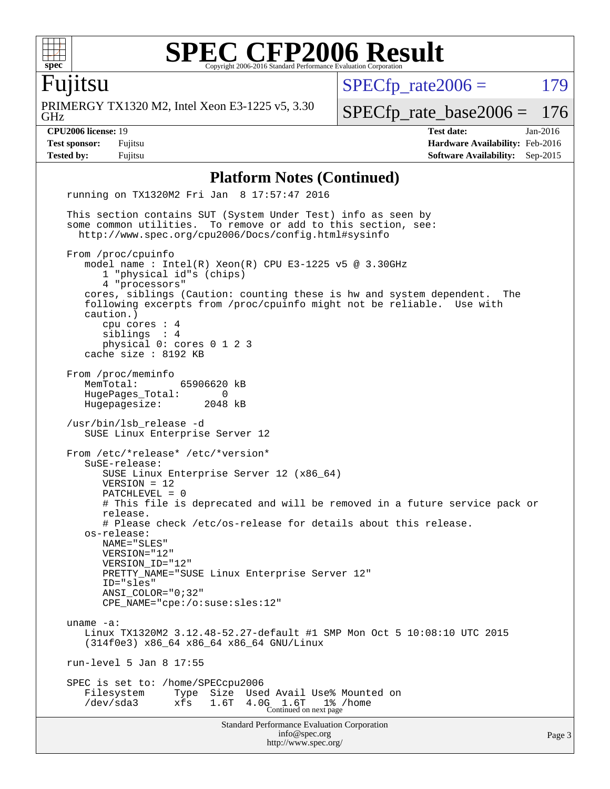

Fujitsu

GHz PRIMERGY TX1320 M2, Intel Xeon E3-1225 v5, 3.30  $SPECfp_rate2006 = 179$  $SPECfp_rate2006 = 179$ 

[SPECfp\\_rate\\_base2006 =](http://www.spec.org/auto/cpu2006/Docs/result-fields.html#SPECfpratebase2006) 176

**[CPU2006 license:](http://www.spec.org/auto/cpu2006/Docs/result-fields.html#CPU2006license)** 19 **[Test date:](http://www.spec.org/auto/cpu2006/Docs/result-fields.html#Testdate)** Jan-2016 **[Test sponsor:](http://www.spec.org/auto/cpu2006/Docs/result-fields.html#Testsponsor)** Fujitsu **[Hardware Availability:](http://www.spec.org/auto/cpu2006/Docs/result-fields.html#HardwareAvailability)** Feb-2016 **[Tested by:](http://www.spec.org/auto/cpu2006/Docs/result-fields.html#Testedby)** Fujitsu **[Software Availability:](http://www.spec.org/auto/cpu2006/Docs/result-fields.html#SoftwareAvailability)** Sep-2015

#### **[Platform Notes \(Continued\)](http://www.spec.org/auto/cpu2006/Docs/result-fields.html#PlatformNotes)**

Standard Performance Evaluation Corporation [info@spec.org](mailto:info@spec.org) <http://www.spec.org/> Page 3 running on TX1320M2 Fri Jan 8 17:57:47 2016 This section contains SUT (System Under Test) info as seen by some common utilities. To remove or add to this section, see: <http://www.spec.org/cpu2006/Docs/config.html#sysinfo> From /proc/cpuinfo model name : Intel(R) Xeon(R) CPU E3-1225 v5 @ 3.30GHz 1 "physical id"s (chips) 4 "processors" cores, siblings (Caution: counting these is hw and system dependent. The following excerpts from /proc/cpuinfo might not be reliable. Use with caution.) cpu cores : 4 siblings : 4 physical 0: cores 0 1 2 3 cache size : 8192 KB From /proc/meminfo<br>MemTotal: 65906620 kB HugePages\_Total: 0 Hugepagesize: 2048 kB /usr/bin/lsb\_release -d SUSE Linux Enterprise Server 12 From /etc/\*release\* /etc/\*version\* SuSE-release: SUSE Linux Enterprise Server 12 (x86\_64) VERSION = 12 PATCHLEVEL = 0 # This file is deprecated and will be removed in a future service pack or release. # Please check /etc/os-release for details about this release. os-release: NAME="SLES" VERSION="12" VERSION\_ID="12" PRETTY\_NAME="SUSE Linux Enterprise Server 12" ID="sles" ANSI\_COLOR="0;32" CPE\_NAME="cpe:/o:suse:sles:12" uname -a: Linux TX1320M2 3.12.48-52.27-default #1 SMP Mon Oct 5 10:08:10 UTC 2015 (314f0e3) x86\_64 x86\_64 x86\_64 GNU/Linux run-level 5 Jan 8 17:55 SPEC is set to: /home/SPECcpu2006 Filesystem Type Size Used Avail Use% Mounted on /dev/sda3 xfs 1.6T 4.0G 1.6T 1% /home Continued on next page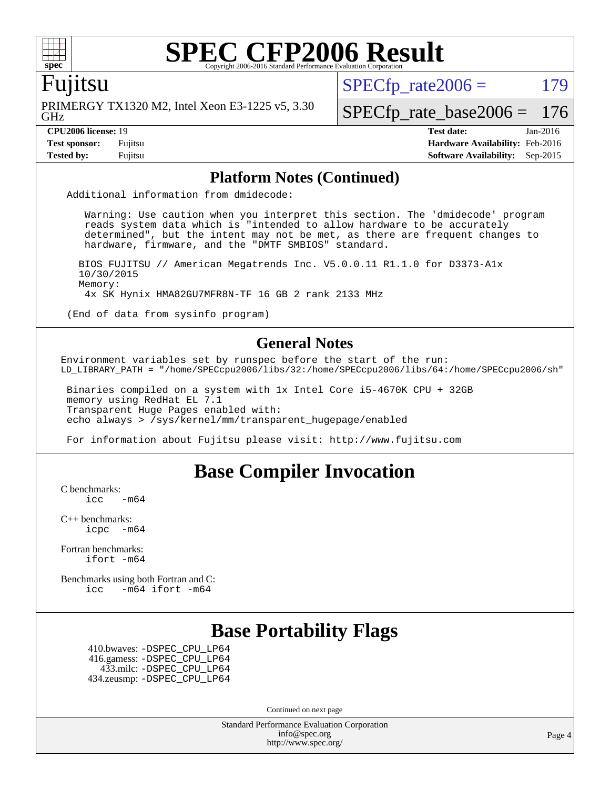

### Fujitsu

GHz PRIMERGY TX1320 M2, Intel Xeon E3-1225 v5, 3.30  $SPECTp\_rate2006 = 179$ 

[SPECfp\\_rate\\_base2006 =](http://www.spec.org/auto/cpu2006/Docs/result-fields.html#SPECfpratebase2006) 176

**[CPU2006 license:](http://www.spec.org/auto/cpu2006/Docs/result-fields.html#CPU2006license)** 19 **[Test date:](http://www.spec.org/auto/cpu2006/Docs/result-fields.html#Testdate)** Jan-2016 **[Test sponsor:](http://www.spec.org/auto/cpu2006/Docs/result-fields.html#Testsponsor)** Fujitsu **[Hardware Availability:](http://www.spec.org/auto/cpu2006/Docs/result-fields.html#HardwareAvailability)** Feb-2016 **[Tested by:](http://www.spec.org/auto/cpu2006/Docs/result-fields.html#Testedby)** Fujitsu **[Software Availability:](http://www.spec.org/auto/cpu2006/Docs/result-fields.html#SoftwareAvailability)** Sep-2015

#### **[Platform Notes \(Continued\)](http://www.spec.org/auto/cpu2006/Docs/result-fields.html#PlatformNotes)**

Additional information from dmidecode:

 Warning: Use caution when you interpret this section. The 'dmidecode' program reads system data which is "intended to allow hardware to be accurately determined", but the intent may not be met, as there are frequent changes to hardware, firmware, and the "DMTF SMBIOS" standard.

 BIOS FUJITSU // American Megatrends Inc. V5.0.0.11 R1.1.0 for D3373-A1x 10/30/2015 Memory: 4x SK Hynix HMA82GU7MFR8N-TF 16 GB 2 rank 2133 MHz

(End of data from sysinfo program)

#### **[General Notes](http://www.spec.org/auto/cpu2006/Docs/result-fields.html#GeneralNotes)**

Environment variables set by runspec before the start of the run: LD\_LIBRARY\_PATH = "/home/SPECcpu2006/libs/32:/home/SPECcpu2006/libs/64:/home/SPECcpu2006/sh"

 Binaries compiled on a system with 1x Intel Core i5-4670K CPU + 32GB memory using RedHat EL 7.1 Transparent Huge Pages enabled with: echo always > /sys/kernel/mm/transparent\_hugepage/enabled

For information about Fujitsu please visit: <http://www.fujitsu.com>

## **[Base Compiler Invocation](http://www.spec.org/auto/cpu2006/Docs/result-fields.html#BaseCompilerInvocation)**

[C benchmarks](http://www.spec.org/auto/cpu2006/Docs/result-fields.html#Cbenchmarks):

 $\text{icc}$   $-\text{m64}$ 

[C++ benchmarks:](http://www.spec.org/auto/cpu2006/Docs/result-fields.html#CXXbenchmarks) [icpc -m64](http://www.spec.org/cpu2006/results/res2016q1/cpu2006-20160125-38912.flags.html#user_CXXbase_intel_icpc_64bit_bedb90c1146cab66620883ef4f41a67e)

[Fortran benchmarks](http://www.spec.org/auto/cpu2006/Docs/result-fields.html#Fortranbenchmarks): [ifort -m64](http://www.spec.org/cpu2006/results/res2016q1/cpu2006-20160125-38912.flags.html#user_FCbase_intel_ifort_64bit_ee9d0fb25645d0210d97eb0527dcc06e)

[Benchmarks using both Fortran and C](http://www.spec.org/auto/cpu2006/Docs/result-fields.html#BenchmarksusingbothFortranandC): [icc -m64](http://www.spec.org/cpu2006/results/res2016q1/cpu2006-20160125-38912.flags.html#user_CC_FCbase_intel_icc_64bit_0b7121f5ab7cfabee23d88897260401c) [ifort -m64](http://www.spec.org/cpu2006/results/res2016q1/cpu2006-20160125-38912.flags.html#user_CC_FCbase_intel_ifort_64bit_ee9d0fb25645d0210d97eb0527dcc06e)

## **[Base Portability Flags](http://www.spec.org/auto/cpu2006/Docs/result-fields.html#BasePortabilityFlags)**

 410.bwaves: [-DSPEC\\_CPU\\_LP64](http://www.spec.org/cpu2006/results/res2016q1/cpu2006-20160125-38912.flags.html#suite_basePORTABILITY410_bwaves_DSPEC_CPU_LP64) 416.gamess: [-DSPEC\\_CPU\\_LP64](http://www.spec.org/cpu2006/results/res2016q1/cpu2006-20160125-38912.flags.html#suite_basePORTABILITY416_gamess_DSPEC_CPU_LP64) 433.milc: [-DSPEC\\_CPU\\_LP64](http://www.spec.org/cpu2006/results/res2016q1/cpu2006-20160125-38912.flags.html#suite_basePORTABILITY433_milc_DSPEC_CPU_LP64) 434.zeusmp: [-DSPEC\\_CPU\\_LP64](http://www.spec.org/cpu2006/results/res2016q1/cpu2006-20160125-38912.flags.html#suite_basePORTABILITY434_zeusmp_DSPEC_CPU_LP64)

Continued on next page

Standard Performance Evaluation Corporation [info@spec.org](mailto:info@spec.org) <http://www.spec.org/>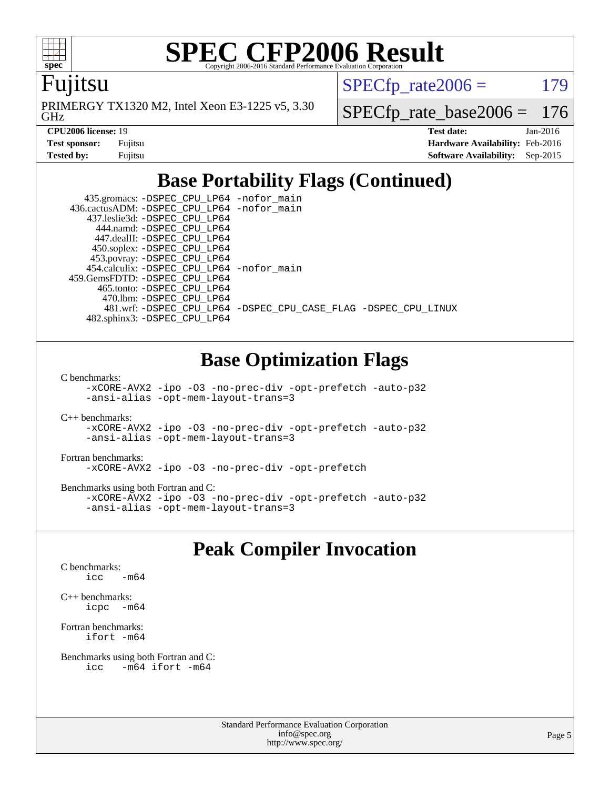

Fujitsu

GHz PRIMERGY TX1320 M2, Intel Xeon E3-1225 v5, 3.30  $SPECTp\_rate2006 = 179$ 

[SPECfp\\_rate\\_base2006 =](http://www.spec.org/auto/cpu2006/Docs/result-fields.html#SPECfpratebase2006) 176

| <b>Test sponsor:</b> | Fujitsu |
|----------------------|---------|
| Tested bv:           | Fuiitsu |

**[CPU2006 license:](http://www.spec.org/auto/cpu2006/Docs/result-fields.html#CPU2006license)** 19 **[Test date:](http://www.spec.org/auto/cpu2006/Docs/result-fields.html#Testdate)** Jan-2016 **[Hardware Availability:](http://www.spec.org/auto/cpu2006/Docs/result-fields.html#HardwareAvailability)** Feb-2016 **[Software Availability:](http://www.spec.org/auto/cpu2006/Docs/result-fields.html#SoftwareAvailability)** Sep-2015

## **[Base Portability Flags \(Continued\)](http://www.spec.org/auto/cpu2006/Docs/result-fields.html#BasePortabilityFlags)**

 435.gromacs: [-DSPEC\\_CPU\\_LP64](http://www.spec.org/cpu2006/results/res2016q1/cpu2006-20160125-38912.flags.html#suite_basePORTABILITY435_gromacs_DSPEC_CPU_LP64) [-nofor\\_main](http://www.spec.org/cpu2006/results/res2016q1/cpu2006-20160125-38912.flags.html#user_baseLDPORTABILITY435_gromacs_f-nofor_main) 436.cactusADM: [-DSPEC\\_CPU\\_LP64](http://www.spec.org/cpu2006/results/res2016q1/cpu2006-20160125-38912.flags.html#suite_basePORTABILITY436_cactusADM_DSPEC_CPU_LP64) [-nofor\\_main](http://www.spec.org/cpu2006/results/res2016q1/cpu2006-20160125-38912.flags.html#user_baseLDPORTABILITY436_cactusADM_f-nofor_main) 437.leslie3d: [-DSPEC\\_CPU\\_LP64](http://www.spec.org/cpu2006/results/res2016q1/cpu2006-20160125-38912.flags.html#suite_basePORTABILITY437_leslie3d_DSPEC_CPU_LP64) 444.namd: [-DSPEC\\_CPU\\_LP64](http://www.spec.org/cpu2006/results/res2016q1/cpu2006-20160125-38912.flags.html#suite_basePORTABILITY444_namd_DSPEC_CPU_LP64) 447.dealII: [-DSPEC\\_CPU\\_LP64](http://www.spec.org/cpu2006/results/res2016q1/cpu2006-20160125-38912.flags.html#suite_basePORTABILITY447_dealII_DSPEC_CPU_LP64) 450.soplex: [-DSPEC\\_CPU\\_LP64](http://www.spec.org/cpu2006/results/res2016q1/cpu2006-20160125-38912.flags.html#suite_basePORTABILITY450_soplex_DSPEC_CPU_LP64) 453.povray: [-DSPEC\\_CPU\\_LP64](http://www.spec.org/cpu2006/results/res2016q1/cpu2006-20160125-38912.flags.html#suite_basePORTABILITY453_povray_DSPEC_CPU_LP64) 454.calculix: [-DSPEC\\_CPU\\_LP64](http://www.spec.org/cpu2006/results/res2016q1/cpu2006-20160125-38912.flags.html#suite_basePORTABILITY454_calculix_DSPEC_CPU_LP64) [-nofor\\_main](http://www.spec.org/cpu2006/results/res2016q1/cpu2006-20160125-38912.flags.html#user_baseLDPORTABILITY454_calculix_f-nofor_main) 459.GemsFDTD: [-DSPEC\\_CPU\\_LP64](http://www.spec.org/cpu2006/results/res2016q1/cpu2006-20160125-38912.flags.html#suite_basePORTABILITY459_GemsFDTD_DSPEC_CPU_LP64) 465.tonto: [-DSPEC\\_CPU\\_LP64](http://www.spec.org/cpu2006/results/res2016q1/cpu2006-20160125-38912.flags.html#suite_basePORTABILITY465_tonto_DSPEC_CPU_LP64) 470.lbm: [-DSPEC\\_CPU\\_LP64](http://www.spec.org/cpu2006/results/res2016q1/cpu2006-20160125-38912.flags.html#suite_basePORTABILITY470_lbm_DSPEC_CPU_LP64) 481.wrf: [-DSPEC\\_CPU\\_LP64](http://www.spec.org/cpu2006/results/res2016q1/cpu2006-20160125-38912.flags.html#suite_basePORTABILITY481_wrf_DSPEC_CPU_LP64) [-DSPEC\\_CPU\\_CASE\\_FLAG](http://www.spec.org/cpu2006/results/res2016q1/cpu2006-20160125-38912.flags.html#b481.wrf_baseCPORTABILITY_DSPEC_CPU_CASE_FLAG) [-DSPEC\\_CPU\\_LINUX](http://www.spec.org/cpu2006/results/res2016q1/cpu2006-20160125-38912.flags.html#b481.wrf_baseCPORTABILITY_DSPEC_CPU_LINUX) 482.sphinx3: [-DSPEC\\_CPU\\_LP64](http://www.spec.org/cpu2006/results/res2016q1/cpu2006-20160125-38912.flags.html#suite_basePORTABILITY482_sphinx3_DSPEC_CPU_LP64)

## **[Base Optimization Flags](http://www.spec.org/auto/cpu2006/Docs/result-fields.html#BaseOptimizationFlags)**

[C benchmarks](http://www.spec.org/auto/cpu2006/Docs/result-fields.html#Cbenchmarks):

[-xCORE-AVX2](http://www.spec.org/cpu2006/results/res2016q1/cpu2006-20160125-38912.flags.html#user_CCbase_f-xAVX2_5f5fc0cbe2c9f62c816d3e45806c70d7) [-ipo](http://www.spec.org/cpu2006/results/res2016q1/cpu2006-20160125-38912.flags.html#user_CCbase_f-ipo) [-O3](http://www.spec.org/cpu2006/results/res2016q1/cpu2006-20160125-38912.flags.html#user_CCbase_f-O3) [-no-prec-div](http://www.spec.org/cpu2006/results/res2016q1/cpu2006-20160125-38912.flags.html#user_CCbase_f-no-prec-div) [-opt-prefetch](http://www.spec.org/cpu2006/results/res2016q1/cpu2006-20160125-38912.flags.html#user_CCbase_f-opt-prefetch) [-auto-p32](http://www.spec.org/cpu2006/results/res2016q1/cpu2006-20160125-38912.flags.html#user_CCbase_f-auto-p32) [-ansi-alias](http://www.spec.org/cpu2006/results/res2016q1/cpu2006-20160125-38912.flags.html#user_CCbase_f-ansi-alias) [-opt-mem-layout-trans=3](http://www.spec.org/cpu2006/results/res2016q1/cpu2006-20160125-38912.flags.html#user_CCbase_f-opt-mem-layout-trans_a7b82ad4bd7abf52556d4961a2ae94d5)

[C++ benchmarks:](http://www.spec.org/auto/cpu2006/Docs/result-fields.html#CXXbenchmarks) [-xCORE-AVX2](http://www.spec.org/cpu2006/results/res2016q1/cpu2006-20160125-38912.flags.html#user_CXXbase_f-xAVX2_5f5fc0cbe2c9f62c816d3e45806c70d7) [-ipo](http://www.spec.org/cpu2006/results/res2016q1/cpu2006-20160125-38912.flags.html#user_CXXbase_f-ipo) [-O3](http://www.spec.org/cpu2006/results/res2016q1/cpu2006-20160125-38912.flags.html#user_CXXbase_f-O3) [-no-prec-div](http://www.spec.org/cpu2006/results/res2016q1/cpu2006-20160125-38912.flags.html#user_CXXbase_f-no-prec-div) [-opt-prefetch](http://www.spec.org/cpu2006/results/res2016q1/cpu2006-20160125-38912.flags.html#user_CXXbase_f-opt-prefetch) [-auto-p32](http://www.spec.org/cpu2006/results/res2016q1/cpu2006-20160125-38912.flags.html#user_CXXbase_f-auto-p32) [-ansi-alias](http://www.spec.org/cpu2006/results/res2016q1/cpu2006-20160125-38912.flags.html#user_CXXbase_f-ansi-alias) [-opt-mem-layout-trans=3](http://www.spec.org/cpu2006/results/res2016q1/cpu2006-20160125-38912.flags.html#user_CXXbase_f-opt-mem-layout-trans_a7b82ad4bd7abf52556d4961a2ae94d5)

[Fortran benchmarks](http://www.spec.org/auto/cpu2006/Docs/result-fields.html#Fortranbenchmarks): [-xCORE-AVX2](http://www.spec.org/cpu2006/results/res2016q1/cpu2006-20160125-38912.flags.html#user_FCbase_f-xAVX2_5f5fc0cbe2c9f62c816d3e45806c70d7) [-ipo](http://www.spec.org/cpu2006/results/res2016q1/cpu2006-20160125-38912.flags.html#user_FCbase_f-ipo) [-O3](http://www.spec.org/cpu2006/results/res2016q1/cpu2006-20160125-38912.flags.html#user_FCbase_f-O3) [-no-prec-div](http://www.spec.org/cpu2006/results/res2016q1/cpu2006-20160125-38912.flags.html#user_FCbase_f-no-prec-div) [-opt-prefetch](http://www.spec.org/cpu2006/results/res2016q1/cpu2006-20160125-38912.flags.html#user_FCbase_f-opt-prefetch)

[Benchmarks using both Fortran and C](http://www.spec.org/auto/cpu2006/Docs/result-fields.html#BenchmarksusingbothFortranandC): [-xCORE-AVX2](http://www.spec.org/cpu2006/results/res2016q1/cpu2006-20160125-38912.flags.html#user_CC_FCbase_f-xAVX2_5f5fc0cbe2c9f62c816d3e45806c70d7) [-ipo](http://www.spec.org/cpu2006/results/res2016q1/cpu2006-20160125-38912.flags.html#user_CC_FCbase_f-ipo) [-O3](http://www.spec.org/cpu2006/results/res2016q1/cpu2006-20160125-38912.flags.html#user_CC_FCbase_f-O3) [-no-prec-div](http://www.spec.org/cpu2006/results/res2016q1/cpu2006-20160125-38912.flags.html#user_CC_FCbase_f-no-prec-div) [-opt-prefetch](http://www.spec.org/cpu2006/results/res2016q1/cpu2006-20160125-38912.flags.html#user_CC_FCbase_f-opt-prefetch) [-auto-p32](http://www.spec.org/cpu2006/results/res2016q1/cpu2006-20160125-38912.flags.html#user_CC_FCbase_f-auto-p32) [-ansi-alias](http://www.spec.org/cpu2006/results/res2016q1/cpu2006-20160125-38912.flags.html#user_CC_FCbase_f-ansi-alias) [-opt-mem-layout-trans=3](http://www.spec.org/cpu2006/results/res2016q1/cpu2006-20160125-38912.flags.html#user_CC_FCbase_f-opt-mem-layout-trans_a7b82ad4bd7abf52556d4961a2ae94d5)

## **[Peak Compiler Invocation](http://www.spec.org/auto/cpu2006/Docs/result-fields.html#PeakCompilerInvocation)**

[C benchmarks](http://www.spec.org/auto/cpu2006/Docs/result-fields.html#Cbenchmarks): [icc -m64](http://www.spec.org/cpu2006/results/res2016q1/cpu2006-20160125-38912.flags.html#user_CCpeak_intel_icc_64bit_0b7121f5ab7cfabee23d88897260401c)

[C++ benchmarks:](http://www.spec.org/auto/cpu2006/Docs/result-fields.html#CXXbenchmarks) [icpc -m64](http://www.spec.org/cpu2006/results/res2016q1/cpu2006-20160125-38912.flags.html#user_CXXpeak_intel_icpc_64bit_bedb90c1146cab66620883ef4f41a67e)

[Fortran benchmarks](http://www.spec.org/auto/cpu2006/Docs/result-fields.html#Fortranbenchmarks): [ifort -m64](http://www.spec.org/cpu2006/results/res2016q1/cpu2006-20160125-38912.flags.html#user_FCpeak_intel_ifort_64bit_ee9d0fb25645d0210d97eb0527dcc06e)

```
Benchmarks using both Fortran and C: 
   icc -m64 ifort -m64
```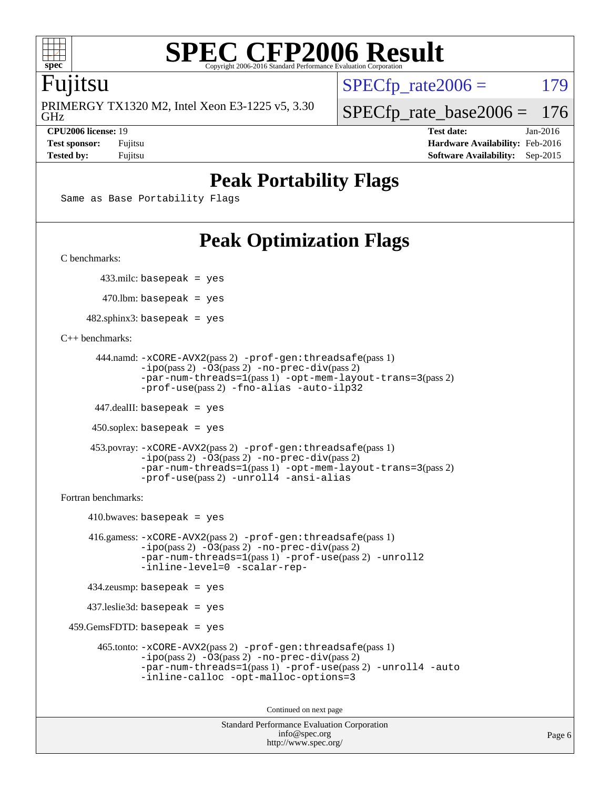

### Fujitsu

GHz PRIMERGY TX1320 M2, Intel Xeon E3-1225 v5, 3.30  $SPECTp\_rate2006 = 179$ 

[SPECfp\\_rate\\_base2006 =](http://www.spec.org/auto/cpu2006/Docs/result-fields.html#SPECfpratebase2006) 176

**[CPU2006 license:](http://www.spec.org/auto/cpu2006/Docs/result-fields.html#CPU2006license)** 19 **[Test date:](http://www.spec.org/auto/cpu2006/Docs/result-fields.html#Testdate)** Jan-2016 **[Test sponsor:](http://www.spec.org/auto/cpu2006/Docs/result-fields.html#Testsponsor)** Fujitsu **[Hardware Availability:](http://www.spec.org/auto/cpu2006/Docs/result-fields.html#HardwareAvailability)** Feb-2016 **[Tested by:](http://www.spec.org/auto/cpu2006/Docs/result-fields.html#Testedby)** Fujitsu **[Software Availability:](http://www.spec.org/auto/cpu2006/Docs/result-fields.html#SoftwareAvailability)** Sep-2015

## **[Peak Portability Flags](http://www.spec.org/auto/cpu2006/Docs/result-fields.html#PeakPortabilityFlags)**

```
Same as Base Portability Flags
```
# **[Peak Optimization Flags](http://www.spec.org/auto/cpu2006/Docs/result-fields.html#PeakOptimizationFlags)**

[C benchmarks](http://www.spec.org/auto/cpu2006/Docs/result-fields.html#Cbenchmarks):

433.milc: basepeak = yes

 $470$ .lbm: basepeak = yes

 $482$ .sphinx3: basepeak = yes

#### [C++ benchmarks:](http://www.spec.org/auto/cpu2006/Docs/result-fields.html#CXXbenchmarks)

```
 444.namd: -xCORE-AVX2(pass 2) -prof-gen:threadsafe(pass 1)
       -ipo(pass 2) -O3(pass 2) -no-prec-div(pass 2)
       -par-num-threads=1(pass 1) -opt-mem-layout-trans=3(pass 2)
       -prof-use(pass 2) -fno-alias -auto-ilp32
```
447.dealII: basepeak = yes

 $450$ .soplex: basepeak = yes

```
 453.povray: -xCORE-AVX2(pass 2) -prof-gen:threadsafe(pass 1)
        -ipo(pass 2) -O3(pass 2) -no-prec-div(pass 2)
        -par-num-threads=1(pass 1) -opt-mem-layout-trans=3(pass 2)
        -prof-use(pass 2) -unroll4 -ansi-alias
```
[Fortran benchmarks](http://www.spec.org/auto/cpu2006/Docs/result-fields.html#Fortranbenchmarks):

```
410.bwaves: basepeak = yes 416.gamess: -xCORE-AVX2(pass 2) -prof-gen:threadsafe(pass 1)
             -ipo(pass 2) -O3(pass 2) -no-prec-div(pass 2)
             -par-num-threads=1(pass 1) -prof-use(pass 2) -unroll2
             -inline-level=0 -scalar-rep-
   434.zeusmp: basepeak = yes
   437.leslie3d: basepeak = yes
459.GemsFDTD: basepeak = yes
```

```
 465.tonto: -xCORE-AVX2(pass 2) -prof-gen:threadsafe(pass 1)
       -ipo(pass 2) -03(pass 2) -no-prec-div(pass 2)-par-num-threads=1(pass 1) -prof-use(pass 2) -unroll4 -auto
       -inline-calloc -opt-malloc-options=3
```
Continued on next page

```
Standard Performance Evaluation Corporation
             info@spec.org
          http://www.spec.org/
```